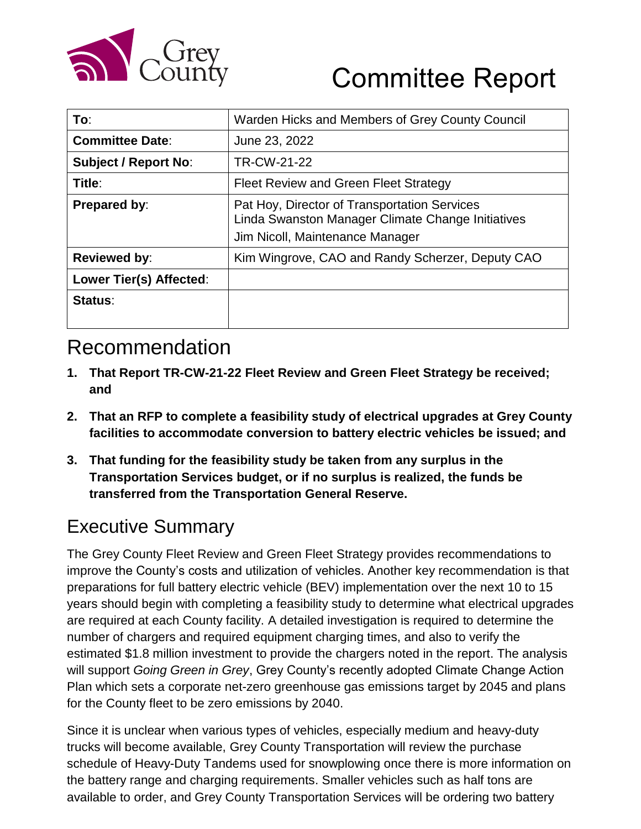

| To∶                         | Warden Hicks and Members of Grey County Council                                                                                      |
|-----------------------------|--------------------------------------------------------------------------------------------------------------------------------------|
| <b>Committee Date:</b>      | June 23, 2022                                                                                                                        |
| <b>Subject / Report No:</b> | TR-CW-21-22                                                                                                                          |
| Title:                      | Fleet Review and Green Fleet Strategy                                                                                                |
| <b>Prepared by:</b>         | Pat Hoy, Director of Transportation Services<br>Linda Swanston Manager Climate Change Initiatives<br>Jim Nicoll, Maintenance Manager |
| <b>Reviewed by:</b>         | Kim Wingrove, CAO and Randy Scherzer, Deputy CAO                                                                                     |
| Lower Tier(s) Affected:     |                                                                                                                                      |
| Status:                     |                                                                                                                                      |

### Recommendation

- **1. That Report TR-CW-21-22 Fleet Review and Green Fleet Strategy be received; and**
- **2. That an RFP to complete a feasibility study of electrical upgrades at Grey County facilities to accommodate conversion to battery electric vehicles be issued; and**
- **3. That funding for the feasibility study be taken from any surplus in the Transportation Services budget, or if no surplus is realized, the funds be transferred from the Transportation General Reserve.**

### Executive Summary

The Grey County Fleet Review and Green Fleet Strategy provides recommendations to improve the County's costs and utilization of vehicles. Another key recommendation is that preparations for full battery electric vehicle (BEV) implementation over the next 10 to 15 years should begin with completing a feasibility study to determine what electrical upgrades are required at each County facility. A detailed investigation is required to determine the number of chargers and required equipment charging times, and also to verify the estimated \$1.8 million investment to provide the chargers noted in the report. The analysis will support *Going Green in Grey*, Grey County's recently adopted Climate Change Action Plan which sets a corporate net-zero greenhouse gas emissions target by 2045 and plans for the County fleet to be zero emissions by 2040.

Since it is unclear when various types of vehicles, especially medium and heavy-duty trucks will become available, Grey County Transportation will review the purchase schedule of Heavy-Duty Tandems used for snowplowing once there is more information on the battery range and charging requirements. Smaller vehicles such as half tons are available to order, and Grey County Transportation Services will be ordering two battery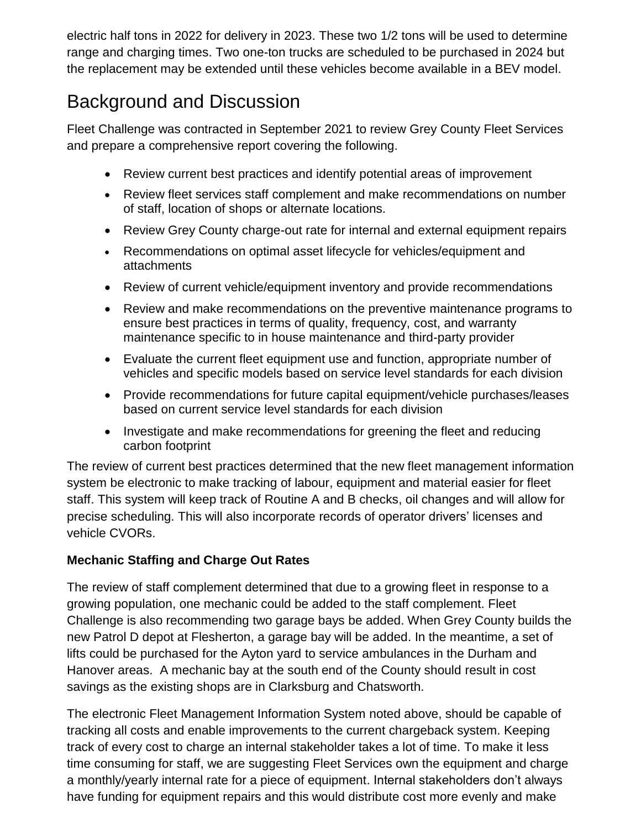electric half tons in 2022 for delivery in 2023. These two 1/2 tons will be used to determine range and charging times. Two one-ton trucks are scheduled to be purchased in 2024 but the replacement may be extended until these vehicles become available in a BEV model.

## Background and Discussion

Fleet Challenge was contracted in September 2021 to review Grey County Fleet Services and prepare a comprehensive report covering the following.

- Review current best practices and identify potential areas of improvement
- Review fleet services staff complement and make recommendations on number of staff, location of shops or alternate locations.
- Review Grey County charge-out rate for internal and external equipment repairs
- Recommendations on optimal asset lifecycle for vehicles/equipment and attachments
- Review of current vehicle/equipment inventory and provide recommendations
- Review and make recommendations on the preventive maintenance programs to ensure best practices in terms of quality, frequency, cost, and warranty maintenance specific to in house maintenance and third-party provider
- Evaluate the current fleet equipment use and function, appropriate number of vehicles and specific models based on service level standards for each division
- Provide recommendations for future capital equipment/vehicle purchases/leases based on current service level standards for each division
- Investigate and make recommendations for greening the fleet and reducing carbon footprint

The review of current best practices determined that the new fleet management information system be electronic to make tracking of labour, equipment and material easier for fleet staff. This system will keep track of Routine A and B checks, oil changes and will allow for precise scheduling. This will also incorporate records of operator drivers' licenses and vehicle CVORs.

#### **Mechanic Staffing and Charge Out Rates**

The review of staff complement determined that due to a growing fleet in response to a growing population, one mechanic could be added to the staff complement. Fleet Challenge is also recommending two garage bays be added. When Grey County builds the new Patrol D depot at Flesherton, a garage bay will be added. In the meantime, a set of lifts could be purchased for the Ayton yard to service ambulances in the Durham and Hanover areas. A mechanic bay at the south end of the County should result in cost savings as the existing shops are in Clarksburg and Chatsworth.

The electronic Fleet Management Information System noted above, should be capable of tracking all costs and enable improvements to the current chargeback system. Keeping track of every cost to charge an internal stakeholder takes a lot of time. To make it less time consuming for staff, we are suggesting Fleet Services own the equipment and charge a monthly/yearly internal rate for a piece of equipment. Internal stakeholders don't always have funding for equipment repairs and this would distribute cost more evenly and make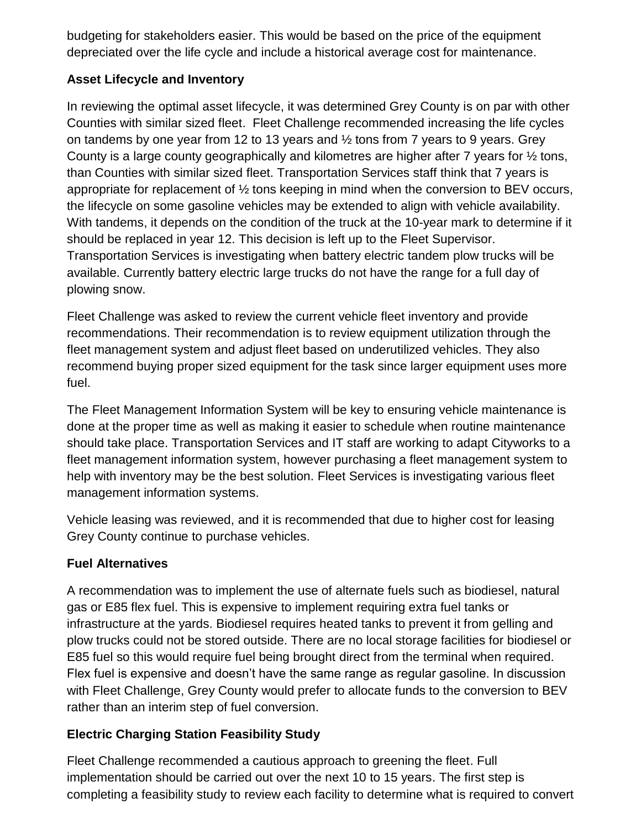budgeting for stakeholders easier. This would be based on the price of the equipment depreciated over the life cycle and include a historical average cost for maintenance.

#### **Asset Lifecycle and Inventory**

In reviewing the optimal asset lifecycle, it was determined Grey County is on par with other Counties with similar sized fleet. Fleet Challenge recommended increasing the life cycles on tandems by one year from 12 to 13 years and ½ tons from 7 years to 9 years. Grey County is a large county geographically and kilometres are higher after 7 years for ½ tons, than Counties with similar sized fleet. Transportation Services staff think that 7 years is appropriate for replacement of ½ tons keeping in mind when the conversion to BEV occurs, the lifecycle on some gasoline vehicles may be extended to align with vehicle availability. With tandems, it depends on the condition of the truck at the 10-year mark to determine if it should be replaced in year 12. This decision is left up to the Fleet Supervisor. Transportation Services is investigating when battery electric tandem plow trucks will be available. Currently battery electric large trucks do not have the range for a full day of plowing snow.

Fleet Challenge was asked to review the current vehicle fleet inventory and provide recommendations. Their recommendation is to review equipment utilization through the fleet management system and adjust fleet based on underutilized vehicles. They also recommend buying proper sized equipment for the task since larger equipment uses more fuel.

The Fleet Management Information System will be key to ensuring vehicle maintenance is done at the proper time as well as making it easier to schedule when routine maintenance should take place. Transportation Services and IT staff are working to adapt Cityworks to a fleet management information system, however purchasing a fleet management system to help with inventory may be the best solution. Fleet Services is investigating various fleet management information systems.

Vehicle leasing was reviewed, and it is recommended that due to higher cost for leasing Grey County continue to purchase vehicles.

#### **Fuel Alternatives**

A recommendation was to implement the use of alternate fuels such as biodiesel, natural gas or E85 flex fuel. This is expensive to implement requiring extra fuel tanks or infrastructure at the yards. Biodiesel requires heated tanks to prevent it from gelling and plow trucks could not be stored outside. There are no local storage facilities for biodiesel or E85 fuel so this would require fuel being brought direct from the terminal when required. Flex fuel is expensive and doesn't have the same range as regular gasoline. In discussion with Fleet Challenge, Grey County would prefer to allocate funds to the conversion to BEV rather than an interim step of fuel conversion.

#### **Electric Charging Station Feasibility Study**

Fleet Challenge recommended a cautious approach to greening the fleet. Full implementation should be carried out over the next 10 to 15 years. The first step is completing a feasibility study to review each facility to determine what is required to convert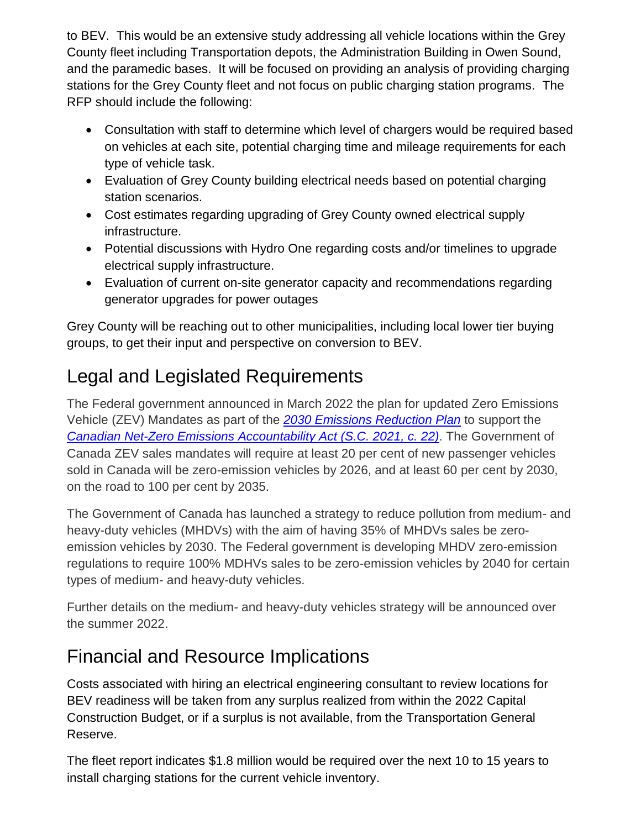to BEV. This would be an extensive study addressing all vehicle locations within the Grey County fleet including Transportation depots, the Administration Building in Owen Sound, and the paramedic bases. It will be focused on providing an analysis of providing charging stations for the Grey County fleet and not focus on public charging station programs. The RFP should include the following:

- Consultation with staff to determine which level of chargers would be required based on vehicles at each site, potential charging time and mileage requirements for each type of vehicle task.
- Evaluation of Grey County building electrical needs based on potential charging station scenarios.
- Cost estimates regarding upgrading of Grey County owned electrical supply infrastructure.
- Potential discussions with Hydro One regarding costs and/or timelines to upgrade electrical supply infrastructure.
- Evaluation of current on-site generator capacity and recommendations regarding generator upgrades for power outages

Grey County will be reaching out to other municipalities, including local lower tier buying groups, to get their input and perspective on conversion to BEV.

# Legal and Legislated Requirements

The Federal government announced in March 2022 the plan for updated Zero Emissions Vehicle (ZEV) Mandates as part of the *[2030 Emissions Reduction Plan](https://www.canada.ca/content/dam/eccc/documents/pdf/climate-change/erp/Canada-2030-Emissions-Reduction-Plan-eng.pdf)* to support the *[Canadian Net-Zero Emissions Accountability Act](https://laws-lois.justice.gc.ca/eng/acts/c-19.3/FullText.html) (S.C. 2021, c. 22)*. The Government of Canada ZEV sales mandates will require at least 20 per cent of new passenger vehicles sold in Canada will be zero-emission vehicles by 2026, and at least 60 per cent by 2030, on the road to 100 per cent by 2035.

The Government of Canada has launched a strategy to reduce pollution from medium- and heavy-duty vehicles (MHDVs) with the aim of having 35% of MHDVs sales be zeroemission vehicles by 2030. The Federal government is developing MHDV zero-emission regulations to require 100% MDHVs sales to be zero-emission vehicles by 2040 for certain types of medium- and heavy-duty vehicles.

Further details on the medium- and heavy-duty vehicles strategy will be announced over the summer 2022.

### Financial and Resource Implications

Costs associated with hiring an electrical engineering consultant to review locations for BEV readiness will be taken from any surplus realized from within the 2022 Capital Construction Budget, or if a surplus is not available, from the Transportation General Reserve.

The fleet report indicates \$1.8 million would be required over the next 10 to 15 years to install charging stations for the current vehicle inventory.